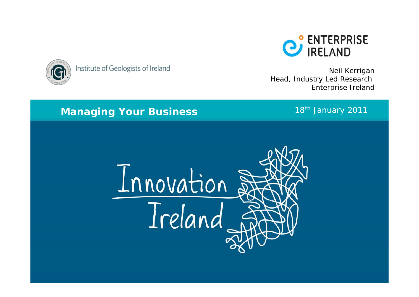



Institute of Geologists of Ireland

Neil Kerrigan Head, Industry Led Research Enterprise Ireland

#### **Managing Your Business**

18<sup>th</sup> January 2011

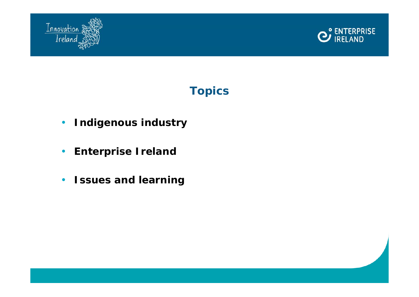



# **Topics**

- **Indigenous industry**
- **Enterprise Ireland**
- **Issues and learning**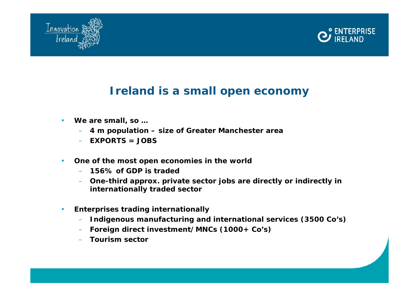



## **Ireland is a small open economy**

- **We are small, so …**
	- **4 m population size of Greater Manchester area**
	- **EXPORTS = JOBS**
- **One of the most open economies in the world** 
	- **156% of GDP is traded**
	- **One-third approx. private sector jobs are directly or indirectly in internationally traded sector**
- **Enterprises trading internationally** 
	- **Indigenous manufacturing and international services (3500 Co's)**
	- **Foreign direct investment/MNCs (1000+ Co's)**
	- **Tourism sector**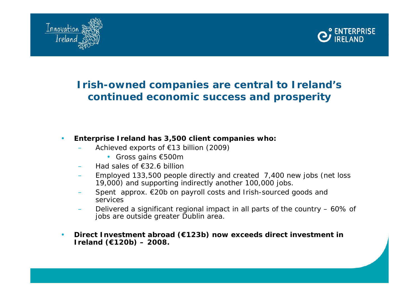



## **Irish-owned companies are central to Ireland's continued economic success and prosperity**

#### • **Enterprise Ireland has 3,500 client companies who:**

- Achieved exports of  $\epsilon$ 13 billion (2009)
	- Gross gains €500m
- Had sales of €32.6 billion
- Employed 133,500 people directly and created 7,400 new jobs (net loss 19,000) and supporting indirectly another 100,000 jobs.
- Spent approx. €20b on payroll costs and Irish-sourced goods and services
- Delivered a significant regional impact in all parts of the country 60% of jobs are outside greater Dublin area.
- **Direct Investment abroad (€123b) now exceeds direct investment in Ireland (€120b) – 2008.**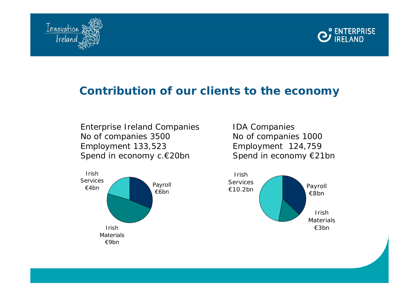



#### **Contribution of our clients to the economy**

Enterprise Ireland Companies No of companies 3500 Employment 133,523 Spend in economy c.€20bn



IDA Companies No of companies 1000 Employment 124,759 Spend in economy €21bn

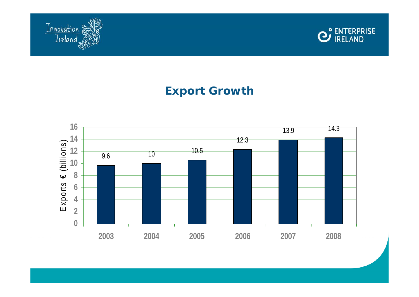



## **Export Growth**

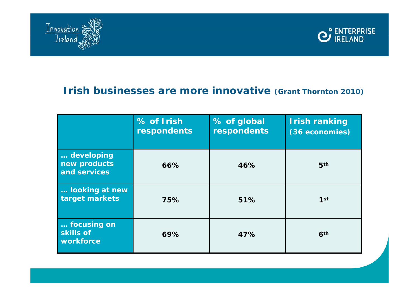



#### **Irish businesses are more innovative (Grant Thornton 2010)**

|                                            | % of Irish<br><b>respondents</b> | % of global<br>respondents | <b>Irish ranking</b><br>(36 economies) |
|--------------------------------------------|----------------------------------|----------------------------|----------------------------------------|
| developing<br>new products<br>and services | 66%                              | 46%                        | 5 <sup>th</sup>                        |
| looking at new<br>target markets           | 75%                              | 51%                        | 1st                                    |
| focusing on<br>skills of<br>workforce      | 69%                              | 47%                        | 6 <sup>th</sup>                        |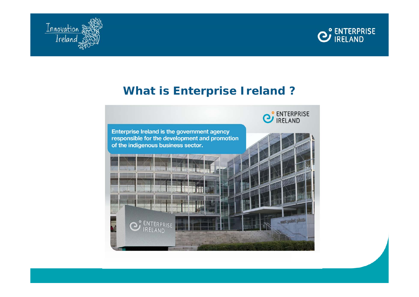



# **What is Enterprise Ireland ?**

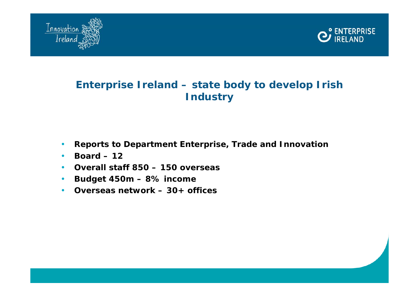



## **Enterprise Ireland – state body to develop Irish Industry**

- **Reports to Department Enterprise, Trade and Innovation**
- **Board 12**
- **Overall staff 850 150 overseas**
- **Budget 450m 8% income**
- **Overseas network 30+ offices**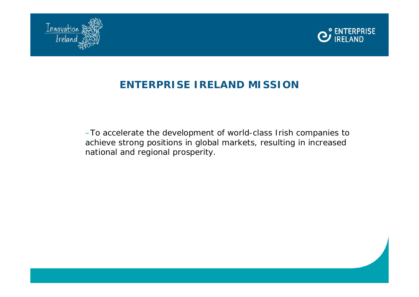



# **ENTERPRISE IRELAND MISSION**

–To accelerate the development of world-class Irish companies to achieve strong positions in global markets, resulting in increased national and regional prosperity.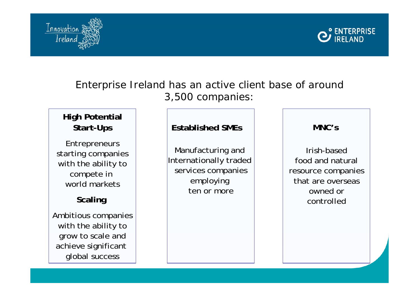



#### Enterprise Ireland has an active client base of around 3,500 companies:

#### **High Potential Sta rt-Ups**

**Entrepreneurs** starting companies with the ability to compete in world markets

#### **Scaling**

Ambitious companies with the ability to grow to scale and achieve significant global success

#### **Established SMEs**

Manufacturing and Internationally traded services companies employi ng ten or more

**MNC's**

Irish-basedfood and naturalresource companies that are overseasowned orcontrolled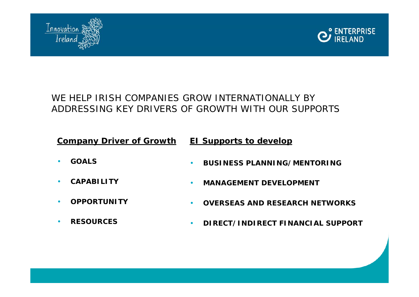



#### WE HELP IRISH COMPANIES GROW INTERNATIONALLY BY ADDRESSING KEY DRIVERS OF GROWTH WITH OUR SUPPORTS

*Company Driver of Growth*

*EI Supports to develop*

• **GOALS**

• **BUSINESS PLANNING/MENTORING** 

- 
- **OPPORTUNITY**
- **RESOURCES**

• **CAPABILITY** 

- **MANAGEMENT DEVELOPMENT**
- **OVERSEAS AND RESEARCH NETWORKS**
- **DIRECT/INDIRECT FINANCIAL SUPPORT**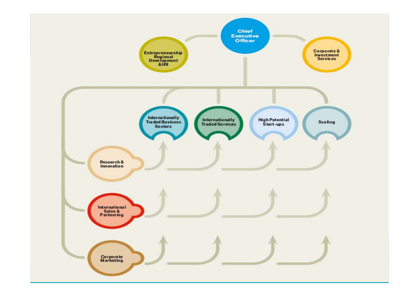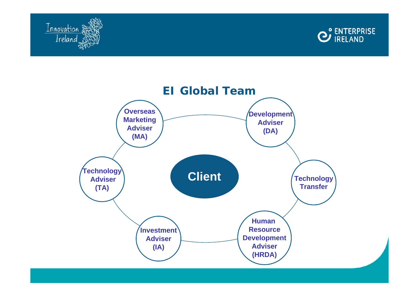



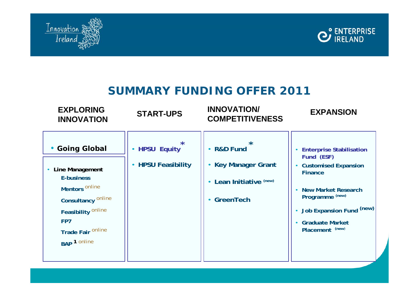



# **SUMMARY FUNDING OFFER 2011**

| <b>EXPLORING</b><br><b>INNOVATION</b>                                                                                                                                              | <b>START-UPS</b>                                                 | <b>INNOVATION/</b><br><b>COMPETITIVENESS</b>                                         | <b>EXPANSION</b>                                                                                                                                                                                                                                   |
|------------------------------------------------------------------------------------------------------------------------------------------------------------------------------------|------------------------------------------------------------------|--------------------------------------------------------------------------------------|----------------------------------------------------------------------------------------------------------------------------------------------------------------------------------------------------------------------------------------------------|
| <b>Going Global</b><br>$\bullet$<br>Line Management<br>E-business<br>Mentors online<br>Consultancy online<br>Feasibility online<br>FP7<br>Trade Fair online<br><b>BAP 1 online</b> | $\star$<br>• HPSU Equity<br><b>HPSU Feasibility</b><br>$\bullet$ | $\star$<br>• R&D Fund<br>• Key Manager Grant<br>Lean Initiative (new)<br>• GreenTech | <b>Enterprise Stabilisation</b><br>Fund (ESF)<br><b>Customised Expansion</b><br>$\bullet$<br><b>Finance</b><br><b>New Market Research</b><br>Programme (new)<br>Job Expansion Fund (new)<br><b>Graduate Market</b><br>$\bullet$<br>Placement (new) |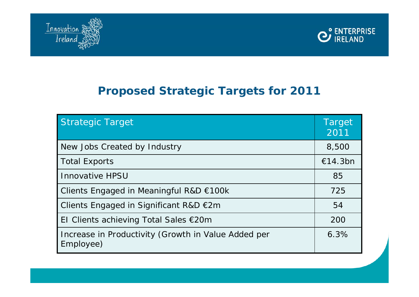



# **Proposed Strategic Targets for 2011**

| Strategic Target                                                 | Target<br>2011 |
|------------------------------------------------------------------|----------------|
| New Jobs Created by Industry                                     | 8,500          |
| <b>Total Exports</b>                                             | €14.3bn        |
| <b>Innovative HPSU</b>                                           | 85             |
| Clients Engaged in Meaningful R&D €100k                          | 725            |
| Clients Engaged in Significant R&D €2m                           | 54             |
| El Clients achieving Total Sales €20m                            | 200            |
| Increase in Productivity (Growth in Value Added per<br>Employee) | 6.3%           |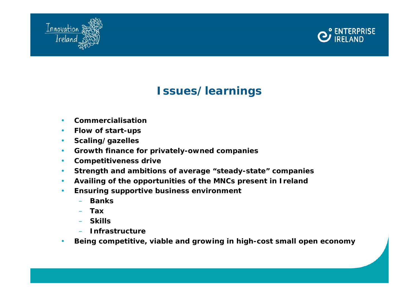



# **Issues/learnings**

- **Commercialisation**
- **Flow of start-ups**
- **Scaling/gazelles**
- **Growth finance for privately-owned companies**
- **Competitiveness drive**
- **Strength and ambitions of average "steady-state" companies**
- **Availing of the opportunities of the MNCs present in Ireland**
- **Ensuring supportive business environment** 
	- **Banks**
	- **Tax**
	- **Skills**
	- **Infrastructure**
- **Being competitive, viable and growing in high-cost small open economy**